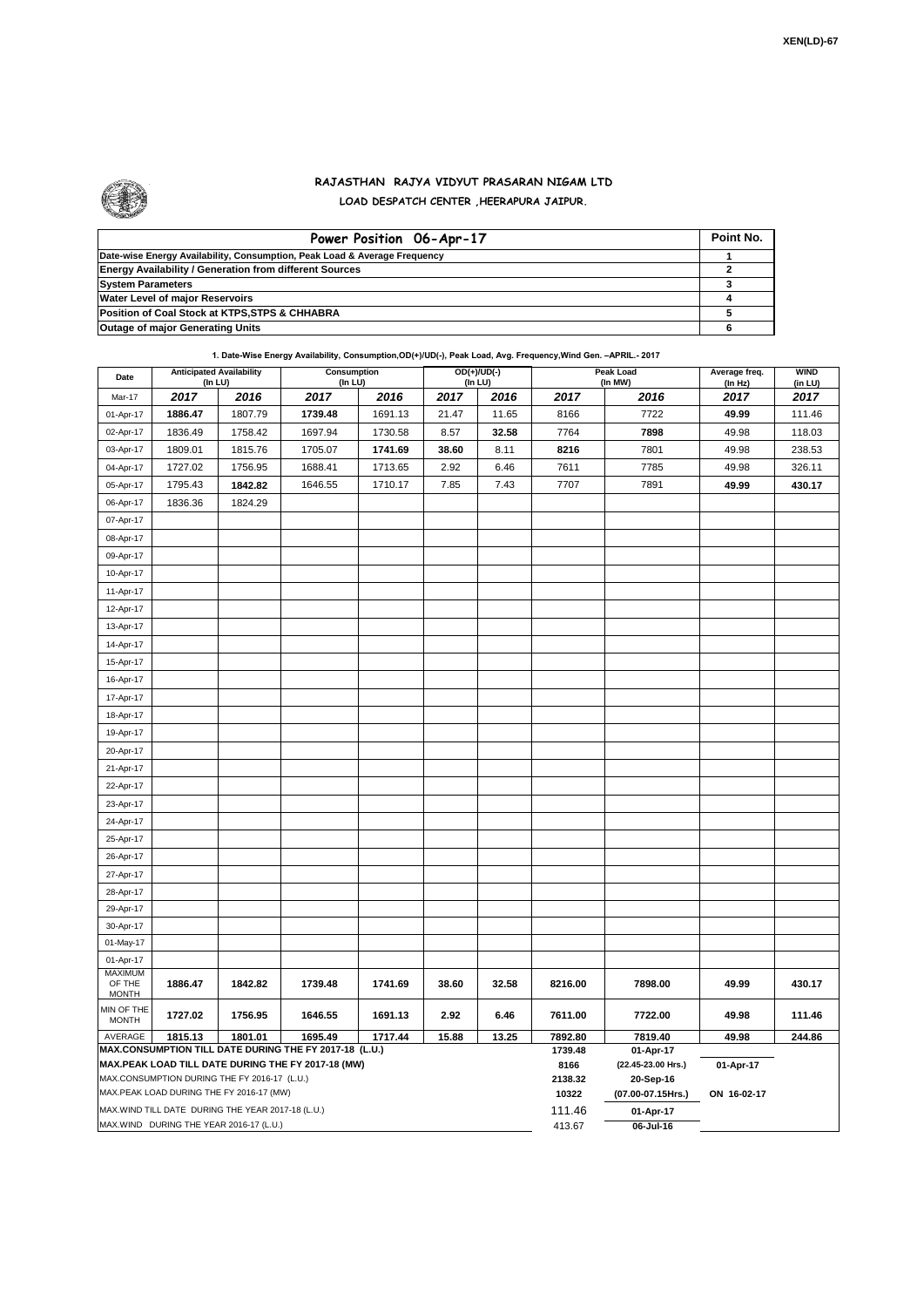

## **RAJASTHAN RAJYA VIDYUT PRASARAN NIGAM LTD LOAD DESPATCH CENTER ,HEERAPURA JAIPUR.**

| Power Position 06-Apr-17                                                  | Point No. |
|---------------------------------------------------------------------------|-----------|
| Date-wise Energy Availability, Consumption, Peak Load & Average Frequency |           |
| <b>Energy Availability / Generation from different Sources</b>            |           |
| <b>System Parameters</b>                                                  |           |
| <b>Water Level of major Reservoirs</b>                                    |           |
| Position of Coal Stock at KTPS, STPS & CHHABRA                            |           |
| <b>Outage of major Generating Units</b>                                   |           |

## **1. Date-Wise Energy Availability, Consumption,OD(+)/UD(-), Peak Load, Avg. Frequency,Wind Gen. –APRIL.- 2017**

| Date                                                                                                         | <b>Anticipated Availability</b><br>(In LU) |         | Consumption<br>(In LU) |         | $OD(+)/UD(-)$<br>(In LU) |       |                 | Peak Load<br>(In MW)            | Average freq.<br>(In Hz) | <b>WIND</b><br>(in LU) |  |
|--------------------------------------------------------------------------------------------------------------|--------------------------------------------|---------|------------------------|---------|--------------------------|-------|-----------------|---------------------------------|--------------------------|------------------------|--|
| Mar-17                                                                                                       | 2017                                       | 2016    | 2017                   | 2016    | 2017                     | 2016  | 2017            | 2016                            | 2017                     | 2017                   |  |
| 01-Apr-17                                                                                                    | 1886.47                                    | 1807.79 | 1739.48                | 1691.13 | 21.47                    | 11.65 | 8166            | 7722                            | 49.99                    | 111.46                 |  |
| 02-Apr-17                                                                                                    | 1836.49                                    | 1758.42 | 1697.94                | 1730.58 | 8.57                     | 32.58 | 7764            | 7898                            | 49.98                    | 118.03                 |  |
| 03-Apr-17                                                                                                    | 1809.01                                    | 1815.76 | 1705.07                | 1741.69 | 38.60                    | 8.11  | 8216            | 7801                            | 49.98                    | 238.53                 |  |
| 04-Apr-17                                                                                                    | 1727.02                                    | 1756.95 | 1688.41                | 1713.65 | 2.92                     | 6.46  | 7611            | 7785                            | 49.98                    | 326.11                 |  |
| 05-Apr-17                                                                                                    | 1795.43                                    | 1842.82 | 1646.55                | 1710.17 | 7.85                     | 7.43  | 7707            | 7891                            | 49.99                    | 430.17                 |  |
| 06-Apr-17                                                                                                    | 1836.36                                    | 1824.29 |                        |         |                          |       |                 |                                 |                          |                        |  |
| 07-Apr-17                                                                                                    |                                            |         |                        |         |                          |       |                 |                                 |                          |                        |  |
| 08-Apr-17                                                                                                    |                                            |         |                        |         |                          |       |                 |                                 |                          |                        |  |
| 09-Apr-17                                                                                                    |                                            |         |                        |         |                          |       |                 |                                 |                          |                        |  |
| 10-Apr-17                                                                                                    |                                            |         |                        |         |                          |       |                 |                                 |                          |                        |  |
| 11-Apr-17                                                                                                    |                                            |         |                        |         |                          |       |                 |                                 |                          |                        |  |
| 12-Apr-17                                                                                                    |                                            |         |                        |         |                          |       |                 |                                 |                          |                        |  |
| 13-Apr-17                                                                                                    |                                            |         |                        |         |                          |       |                 |                                 |                          |                        |  |
| 14-Apr-17                                                                                                    |                                            |         |                        |         |                          |       |                 |                                 |                          |                        |  |
| 15-Apr-17                                                                                                    |                                            |         |                        |         |                          |       |                 |                                 |                          |                        |  |
| 16-Apr-17                                                                                                    |                                            |         |                        |         |                          |       |                 |                                 |                          |                        |  |
| 17-Apr-17                                                                                                    |                                            |         |                        |         |                          |       |                 |                                 |                          |                        |  |
| 18-Apr-17                                                                                                    |                                            |         |                        |         |                          |       |                 |                                 |                          |                        |  |
| 19-Apr-17                                                                                                    |                                            |         |                        |         |                          |       |                 |                                 |                          |                        |  |
| 20-Apr-17                                                                                                    |                                            |         |                        |         |                          |       |                 |                                 |                          |                        |  |
| 21-Apr-17                                                                                                    |                                            |         |                        |         |                          |       |                 |                                 |                          |                        |  |
| 22-Apr-17                                                                                                    |                                            |         |                        |         |                          |       |                 |                                 |                          |                        |  |
| 23-Apr-17                                                                                                    |                                            |         |                        |         |                          |       |                 |                                 |                          |                        |  |
| 24-Apr-17                                                                                                    |                                            |         |                        |         |                          |       |                 |                                 |                          |                        |  |
| 25-Apr-17                                                                                                    |                                            |         |                        |         |                          |       |                 |                                 |                          |                        |  |
| 26-Apr-17                                                                                                    |                                            |         |                        |         |                          |       |                 |                                 |                          |                        |  |
| 27-Apr-17                                                                                                    |                                            |         |                        |         |                          |       |                 |                                 |                          |                        |  |
| 28-Apr-17                                                                                                    |                                            |         |                        |         |                          |       |                 |                                 |                          |                        |  |
| 29-Apr-17                                                                                                    |                                            |         |                        |         |                          |       |                 |                                 |                          |                        |  |
| 30-Apr-17                                                                                                    |                                            |         |                        |         |                          |       |                 |                                 |                          |                        |  |
| 01-May-17                                                                                                    |                                            |         |                        |         |                          |       |                 |                                 |                          |                        |  |
| 01-Apr-17<br><b>MAXIMUM</b>                                                                                  |                                            |         |                        |         |                          |       |                 |                                 |                          |                        |  |
| OF THE<br><b>MONTH</b>                                                                                       | 1886.47                                    | 1842.82 | 1739.48                | 1741.69 | 38.60                    | 32.58 | 8216.00         | 7898.00                         | 49.99                    | 430.17                 |  |
| MIN OF THE<br><b>MONTH</b>                                                                                   | 1727.02                                    | 1756.95 | 1646.55                | 1691.13 | 2.92                     | 6.46  | 7611.00         | 7722.00                         | 49.98                    | 111.46                 |  |
| 1801.01<br>AVERAGE<br>1815.13<br>1695.49<br>1717.44<br>15.88<br>13.25                                        |                                            |         |                        |         |                          |       | 7892.80         | 7819.40                         | 49.98                    | 244.86                 |  |
| MAX.CONSUMPTION TILL DATE DURING THE FY 2017-18 (L.U.)<br>MAX.PEAK LOAD TILL DATE DURING THE FY 2017-18 (MW) |                                            |         |                        |         |                          |       | 1739.48<br>8166 | 01-Apr-17<br>(22.45-23.00 Hrs.) | 01-Apr-17                |                        |  |
| MAX.CONSUMPTION DURING THE FY 2016-17 (L.U.)                                                                 |                                            |         |                        |         |                          |       | 2138.32         | 20-Sep-16                       |                          |                        |  |
| MAX.PEAK LOAD DURING THE FY 2016-17 (MW)                                                                     |                                            |         |                        |         |                          |       | 10322           | (07.00-07.15Hrs.)               | ON 16-02-17              |                        |  |
| MAX.WIND TILL DATE DURING THE YEAR 2017-18 (L.U.)                                                            |                                            |         |                        |         |                          |       | 111.46          | 01-Apr-17                       |                          |                        |  |
| MAX.WIND DURING THE YEAR 2016-17 (L.U.)                                                                      |                                            |         |                        |         |                          |       |                 | 06-Jul-16                       |                          |                        |  |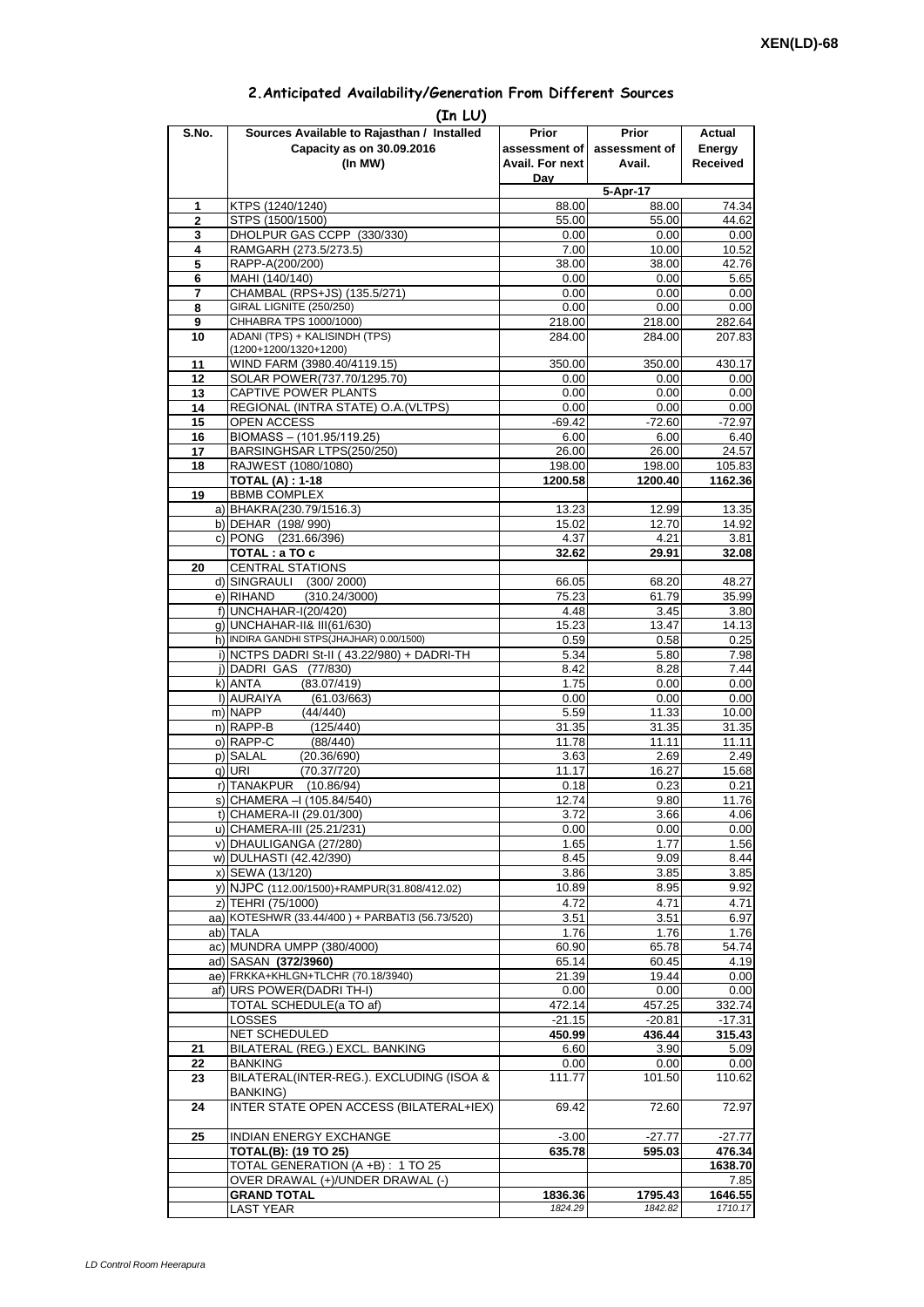| 2. Anticipated Availability/Generation From Different Sources |  |  |  |  |  |  |
|---------------------------------------------------------------|--|--|--|--|--|--|
|---------------------------------------------------------------|--|--|--|--|--|--|

| S.No.          | (In LU)<br>Sources Available to Rajasthan / Installed            | Prior                  | <b>Prior</b>       | Actual             |
|----------------|------------------------------------------------------------------|------------------------|--------------------|--------------------|
|                | Capacity as on 30.09.2016                                        | assessment of          | assessment of      | Energy             |
|                | (In MW)                                                          | <b>Avail. For next</b> | Avail.             | <b>Received</b>    |
|                |                                                                  | Dav                    |                    |                    |
|                |                                                                  |                        | 5-Apr-17           |                    |
| 1              | KTPS (1240/1240)                                                 | 88.00                  | 88.00              | 74.34              |
| $\overline{2}$ | STPS (1500/1500)                                                 | 55.00                  | 55.00              | 44.62              |
| 3<br>4         | DHOLPUR GAS CCPP (330/330)<br>RAMGARH (273.5/273.5)              | 0.00<br>7.00           | 0.00<br>10.00      | 0.00<br>10.52      |
| 5              | RAPP-A(200/200)                                                  | 38.00                  | 38.00              | 42.76              |
| 6              | MAHI (140/140)                                                   | 0.00                   | 0.00               | 5.65               |
| 7              | CHAMBAL (RPS+JS) (135.5/271)                                     | 0.00                   | 0.00               | 0.00               |
| 8              | GIRAL LIGNITE (250/250)                                          | 0.00                   | 0.00               | 0.00               |
| 9              | CHHABRA TPS 1000/1000)                                           | 218.00                 | 218.00             | 282.64             |
| 10             | ADANI (TPS) + KALISINDH (TPS)<br>(1200+1200/1320+1200)           | 284.00                 | 284.00             | 207.83             |
| 11             | WIND FARM (3980.40/4119.15)                                      | 350.00                 | 350.00             | 430.17             |
| 12             | SOLAR POWER(737.70/1295.70)                                      | 0.00                   | 0.00               | 0.00               |
| 13             | CAPTIVE POWER PLANTS                                             | 0.00                   | 0.00               | 0.00               |
| 14             | REGIONAL (INTRA STATE) O.A. (VLTPS)                              | 0.00                   | 0.00               | 0.00               |
| 15             | OPEN ACCESS                                                      | $-69.42$               | $-72.60$           | $-72.97$           |
| 16             | BIOMASS - (101.95/119.25)                                        | 6.00                   | 6.00               | 6.40               |
| 17             | BARSINGHSAR LTPS(250/250)                                        | 26.00                  | 26.00              | 24.57              |
| 18             | RAJWEST (1080/1080)<br><b>TOTAL (A): 1-18</b>                    | 198.00                 | 198.00<br>1200.40  | 105.83             |
| 19             | <b>BBMB COMPLEX</b>                                              | 1200.58                |                    | 1162.36            |
|                | a) BHAKRA(230.79/1516.3)                                         | 13.23                  | 12.99              | 13.35              |
|                | b) DEHAR (198/990)                                               | 15.02                  | 12.70              | 14.92              |
|                | c) PONG (231.66/396)                                             | 4.37                   | 4.21               | 3.81               |
|                | TOTAL : a TO c                                                   | 32.62                  | 29.91              | 32.08              |
| 20             | <b>CENTRAL STATIONS</b>                                          |                        |                    |                    |
|                | d) SINGRAULI<br>(300/2000)                                       | 66.05                  | 68.20              | 48.27              |
|                | e) RIHAND<br>(310.24/3000)<br>f) UNCHAHAR-I(20/420)              | 75.23<br>4.48          | 61.79              | 35.99              |
|                | q) UNCHAHAR-II& III(61/630)                                      | 15.23                  | 3.45<br>13.47      | 3.80<br>14.13      |
|                | h) INDIRA GANDHI STPS(JHAJHAR) 0.00/1500)                        | 0.59                   | 0.58               | 0.25               |
|                | i) NCTPS DADRI St-II (43.22/980) + DADRI-TH                      | 5.34                   | 5.80               | 7.98               |
|                | j) DADRI GAS (77/830)                                            | 8.42                   | 8.28               | 7.44               |
|                | k) ANTA<br>(83.07/419)                                           | 1.75                   | 0.00               | 0.00               |
|                | I) AURAIYA<br>(61.03/663)                                        | 0.00                   | 0.00               | 0.00               |
|                | m) NAPP<br>(44/440)                                              | 5.59                   | 11.33              | 10.00              |
|                | n) RAPP-B<br>(125/440)<br>(88/440)                               | 31.35                  | 31.35              | 31.35              |
|                | o) RAPP-C<br>p) SALAL<br>(20.36/690)                             | 11.78<br>3.63          | 11.11<br>2.69      | 11.11<br>2.49      |
|                | (70.37/720)<br>q) URI                                            | 11.17                  | 16.27              | 15.68              |
|                | r) TANAKPUR<br>(10.86/94)                                        | 0.18                   | 0.23               | 0.21               |
|                | S) CHAMERA –I (105.84/540)                                       | 12.74                  | 9.80               | 11.76              |
|                | t) CHAMERA-II (29.01/300)                                        | 3.72                   | 3.66               | 4.06               |
|                | u) CHAMERA-III (25.21/231)                                       | 0.00                   | 0.00               | 0.00               |
|                | v) DHAULIGANGA (27/280)                                          | 1.65                   | 1.77               | 1.56               |
|                | w) DULHASTI (42.42/390)<br>x) SEWA (13/120)                      | 8.45<br>3.86           | 9.09               | 8.44               |
|                | y) NJPC (112.00/1500)+RAMPUR(31.808/412.02)                      | 10.89                  | 3.85<br>8.95       | 3.85<br>9.92       |
|                | z) TEHRI (75/1000)                                               | 4.72                   | 4.71               | 4.71               |
|                | aa) KOTESHWR (33.44/400) + PARBATI3 (56.73/520)                  | 3.51                   | 3.51               | 6.97               |
|                | ab) TALA                                                         | 1.76                   | 1.76               | 1.76               |
|                | ac) MUNDRA UMPP (380/4000)                                       | 60.90                  | 65.78              | 54.74              |
|                | ad) SASAN (372/3960)                                             | 65.14                  | 60.45              | 4.19               |
|                | ae) FRKKA+KHLGN+TLCHR (70.18/3940)                               | 21.39                  | 19.44              | 0.00               |
|                | af) URS POWER(DADRI TH-I)                                        | 0.00                   | 0.00               | 0.00               |
|                | TOTAL SCHEDULE(a TO af)<br><b>LOSSES</b>                         | 472.14<br>$-21.15$     | 457.25<br>$-20.81$ | 332.74<br>$-17.31$ |
|                | NET SCHEDULED                                                    | 450.99                 | 436.44             | 315.43             |
| 21             | BILATERAL (REG.) EXCL. BANKING                                   | 6.60                   | 3.90               | 5.09               |
| 22             | <b>BANKING</b>                                                   | 0.00                   | 0.00               | 0.00               |
| 23             | BILATERAL(INTER-REG.). EXCLUDING (ISOA &                         | 111.77                 | 101.50             | 110.62             |
|                | <b>BANKING)</b>                                                  |                        |                    |                    |
| 24             | INTER STATE OPEN ACCESS (BILATERAL+IEX)                          | 69.42                  | 72.60              | 72.97              |
|                |                                                                  |                        |                    |                    |
| 25             | INDIAN ENERGY EXCHANGE                                           | $-3.00$                | $-27.77$           | $-27.77$           |
|                | <b>TOTAL(B): (19 TO 25)</b><br>TOTAL GENERATION (A +B) : 1 TO 25 | 635.78                 | 595.03             | 476.34<br>1638.70  |
|                | OVER DRAWAL (+)/UNDER DRAWAL (-)                                 |                        |                    | 7.85               |
|                | <b>GRAND TOTAL</b>                                               | 1836.36                | 1795.43            | 1646.55            |
|                | <b>LAST YEAR</b>                                                 | 1824.29                | 1842.82            | 1710.17            |